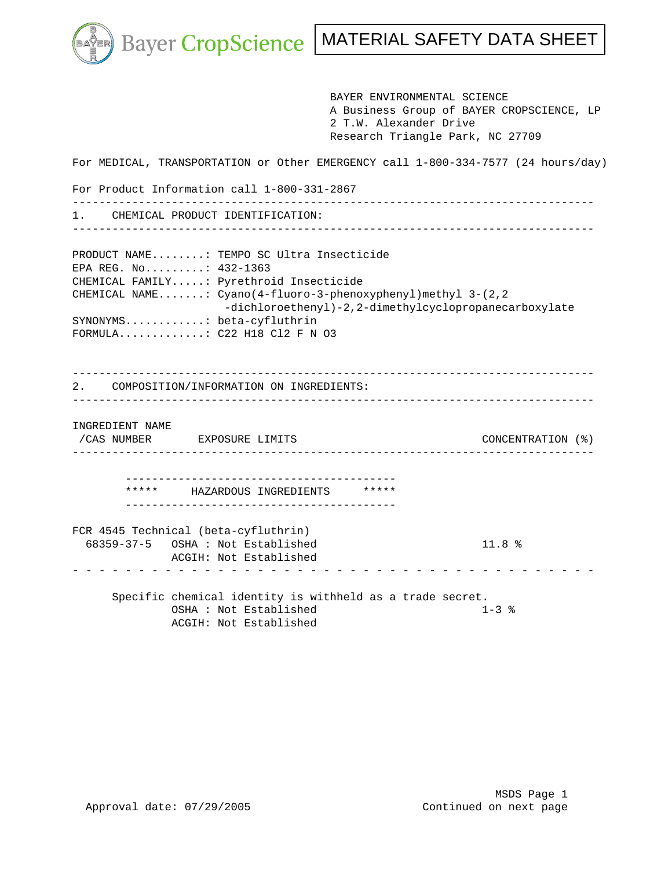k.

Bayer CropScience | MATERIAL SAFETY DATA SHEET

 BAYER ENVIRONMENTAL SCIENCE A Business Group of BAYER CROPSCIENCE, LP 2 T.W. Alexander Drive Research Triangle Park, NC 27709 For MEDICAL, TRANSPORTATION or Other EMERGENCY call 1-800-334-7577 (24 hours/day) For Product Information call 1-800-331-2867 ------------------------------------------------------------------------------- 1. CHEMICAL PRODUCT IDENTIFICATION: ------------------------------------------------------------------------------- PRODUCT NAME........: TEMPO SC Ultra Insecticide EPA REG. No.........: 432-1363 CHEMICAL FAMILY.....: Pyrethroid Insecticide CHEMICAL NAME.......: Cyano(4-fluoro-3-phenoxyphenyl)methyl 3-(2,2 -dichloroethenyl)-2,2-dimethylcyclopropanecarboxylate SYNONYMS............: beta-cyfluthrin FORMULA.............: C22 H18 Cl2 F N O3 ------------------------------------------------------------------------------- 2. COMPOSITION/INFORMATION ON INGREDIENTS: ------------------------------------------------------------------------------- INGREDIENT NAME /CAS NUMBER EXPOSURE LIMITS CONCENTRATION (%) ------------------------------------------------------------------------------- ----------------------------------------- \*\*\*\*\* HAZARDOUS INGREDIENTS \*\*\*\*\* ----------------------------------------- FCR 4545 Technical (beta-cyfluthrin) 68359-37-5 OSHA : Not Established 11.8 % ACGIH: Not Established - - - - - - - - - - - - - - - - - - - - - - - - - - - - - - - - - - - - - - - - Specific chemical identity is withheld as a trade secret. OSHA : Not Established 1-3 % ACGIH: Not Established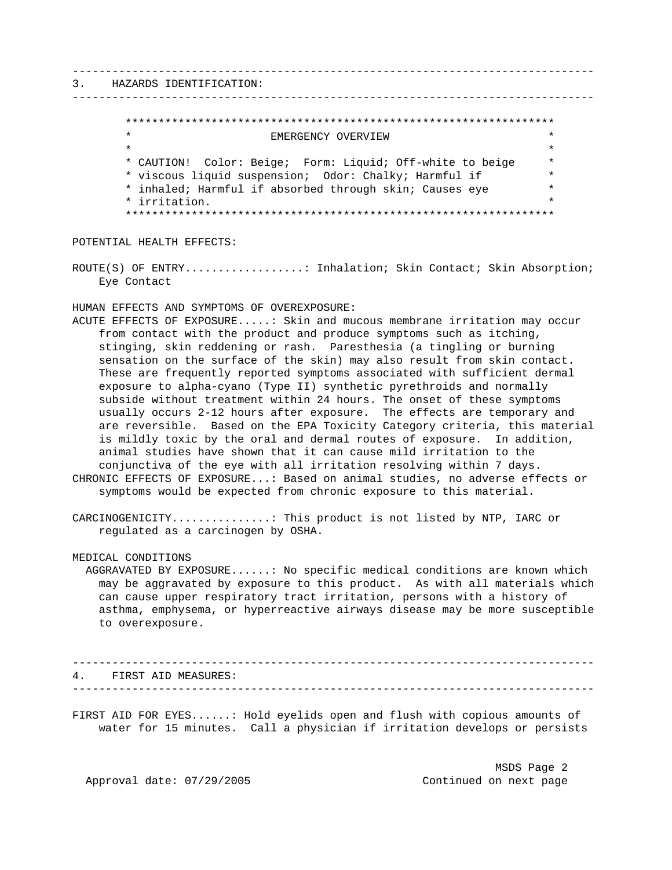# 3. HAZARDS IDENTIFICATION:

# \*\*\*\*\*\*\*\*\*\*\*\*\*\*\*\*\*\*\*\*\*\*\*\*\*\*\*\*\*\*\*\*\*\*\*\*\*\*\*\*\*\*\*\*\*\*\*\*\*\*\*\*\*\*\*\*\*\*\*\*\*\*\*\*\* EMERGENCY OVERVIEW  $\star$  \* \* CAUTION! Color: Beige; Form: Liquid; Off-white to beige \* \* viscous liquid suspension; Odor: Chalky; Harmful if \* \* inhaled; Harmful if absorbed through skin; Causes eye \* \* irritation. \* \*\*\*\*\*\*\*\*\*\*\*\*\*\*\*\*\*\*\*\*\*\*\*\*\*\*\*\*\*\*\*\*\*\*\*\*\*\*\*\*\*\*\*\*\*\*\*\*\*\*\*\*\*\*\*\*\*\*\*\*\*\*\*\*\*

-------------------------------------------------------------------------------

-------------------------------------------------------------------------------

POTENTIAL HEALTH EFFECTS:

ROUTE(S) OF ENTRY.................: Inhalation; Skin Contact; Skin Absorption; Eye Contact

HUMAN EFFECTS AND SYMPTOMS OF OVEREXPOSURE:

ACUTE EFFECTS OF EXPOSURE.....: Skin and mucous membrane irritation may occur from contact with the product and produce symptoms such as itching, stinging, skin reddening or rash. Paresthesia (a tingling or burning sensation on the surface of the skin) may also result from skin contact. These are frequently reported symptoms associated with sufficient dermal exposure to alpha-cyano (Type II) synthetic pyrethroids and normally subside without treatment within 24 hours. The onset of these symptoms usually occurs 2-12 hours after exposure. The effects are temporary and are reversible. Based on the EPA Toxicity Category criteria, this material is mildly toxic by the oral and dermal routes of exposure. In addition, animal studies have shown that it can cause mild irritation to the conjunctiva of the eye with all irritation resolving within 7 days. CHRONIC EFFECTS OF EXPOSURE...: Based on animal studies, no adverse effects or symptoms would be expected from chronic exposure to this material.

CARCINOGENICITY...............: This product is not listed by NTP, IARC or regulated as a carcinogen by OSHA.

MEDICAL CONDITIONS

 AGGRAVATED BY EXPOSURE......: No specific medical conditions are known which may be aggravated by exposure to this product. As with all materials which can cause upper respiratory tract irritation, persons with a history of asthma, emphysema, or hyperreactive airways disease may be more susceptible to overexposure.

------------------------------------------------------------------------------- 4. FIRST AID MEASURES: -------------------------------------------------------------------------------

FIRST AID FOR EYES......: Hold eyelids open and flush with copious amounts of water for 15 minutes. Call a physician if irritation develops or persists

 MSDS Page 2 Approval date: 07/29/2005 Continued on next page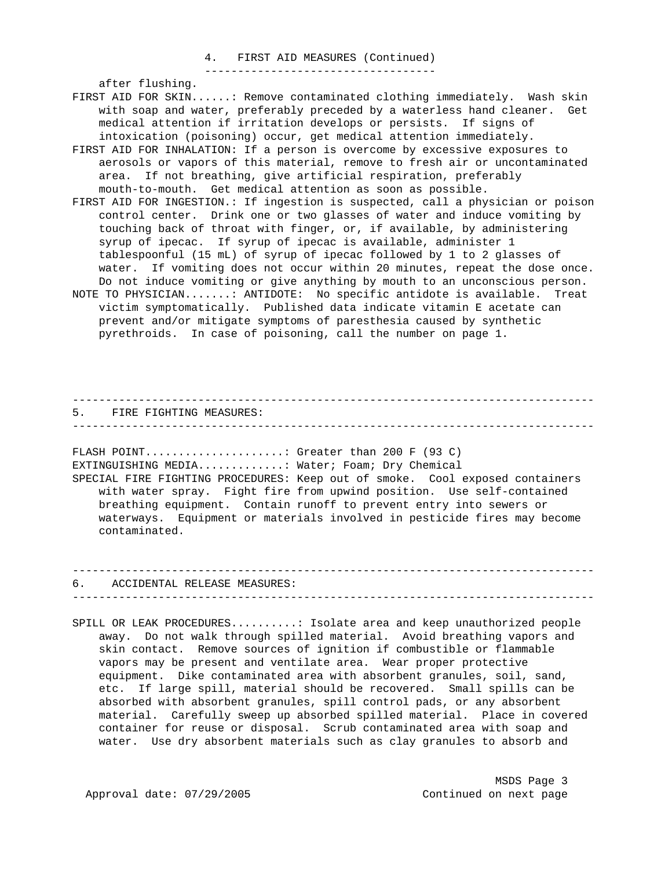#### 4. FIRST AID MEASURES (Continued) -----------------------------------

after flushing.

- FIRST AID FOR SKIN......: Remove contaminated clothing immediately. Wash skin with soap and water, preferably preceded by a waterless hand cleaner. Get medical attention if irritation develops or persists. If signs of intoxication (poisoning) occur, get medical attention immediately.
- FIRST AID FOR INHALATION: If a person is overcome by excessive exposures to aerosols or vapors of this material, remove to fresh air or uncontaminated area. If not breathing, give artificial respiration, preferably mouth-to-mouth. Get medical attention as soon as possible.
- FIRST AID FOR INGESTION.: If ingestion is suspected, call a physician or poison control center. Drink one or two glasses of water and induce vomiting by touching back of throat with finger, or, if available, by administering syrup of ipecac. If syrup of ipecac is available, administer 1 tablespoonful (15 mL) of syrup of ipecac followed by 1 to 2 glasses of water. If vomiting does not occur within 20 minutes, repeat the dose once. Do not induce vomiting or give anything by mouth to an unconscious person.
- NOTE TO PHYSICIAN.......: ANTIDOTE: No specific antidote is available. Treat victim symptomatically. Published data indicate vitamin E acetate can prevent and/or mitigate symptoms of paresthesia caused by synthetic pyrethroids. In case of poisoning, call the number on page 1.

------------------------------------------------------------------------------- 5. FIRE FIGHTING MEASURES: -------------------------------------------------------------------------------

FLASH POINT.....................: Greater than 200 F (93 C) EXTINGUISHING MEDIA.............: Water; Foam; Dry Chemical SPECIAL FIRE FIGHTING PROCEDURES: Keep out of smoke. Cool exposed containers with water spray. Fight fire from upwind position. Use self-contained breathing equipment. Contain runoff to prevent entry into sewers or waterways. Equipment or materials involved in pesticide fires may become contaminated.

------------------------------------------------------------------------------- 6. ACCIDENTAL RELEASE MEASURES: -------------------------------------------------------------------------------

SPILL OR LEAK PROCEDURES..........: Isolate area and keep unauthorized people away. Do not walk through spilled material. Avoid breathing vapors and skin contact. Remove sources of ignition if combustible or flammable vapors may be present and ventilate area. Wear proper protective equipment. Dike contaminated area with absorbent granules, soil, sand, etc. If large spill, material should be recovered. Small spills can be absorbed with absorbent granules, spill control pads, or any absorbent material. Carefully sweep up absorbed spilled material. Place in covered container for reuse or disposal. Scrub contaminated area with soap and water. Use dry absorbent materials such as clay granules to absorb and

 MSDS Page 3 Approval date:  $07/29/2005$  Continued on next page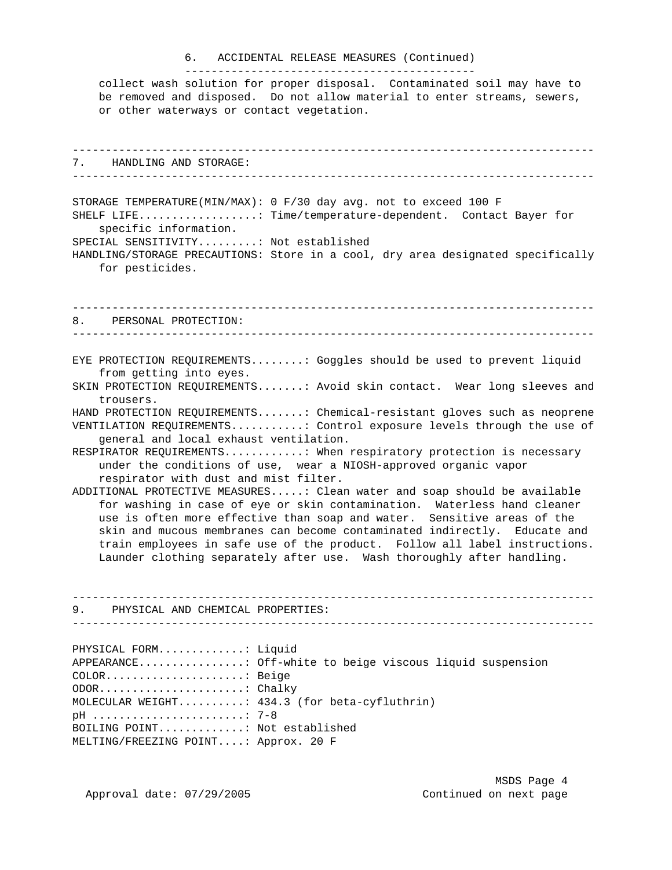## 6. ACCIDENTAL RELEASE MEASURES (Continued)

 collect wash solution for proper disposal. Contaminated soil may have to be removed and disposed. Do not allow material to enter streams, sewers, or other waterways or contact vegetation.

--------------------------------------------

------------------------------------------------------------------------------- 7. HANDLING AND STORAGE: ------------------------------------------------------------------------------- STORAGE TEMPERATURE(MIN/MAX): 0 F/30 day avg. not to exceed 100 F SHELF LIFE..................: Time/temperature-dependent. Contact Bayer for specific information. SPECIAL SENSITIVITY.........: Not established HANDLING/STORAGE PRECAUTIONS: Store in a cool, dry area designated specifically for pesticides. ------------------------------------------------------------------------------- 8. PERSONAL PROTECTION: ------------------------------------------------------------------------------- EYE PROTECTION REQUIREMENTS........: Goggles should be used to prevent liquid from getting into eyes. SKIN PROTECTION REQUIREMENTS.......: Avoid skin contact. Wear long sleeves and trousers. HAND PROTECTION REQUIREMENTS.......: Chemical-resistant gloves such as neoprene VENTILATION REQUIREMENTS...........: Control exposure levels through the use of general and local exhaust ventilation. RESPIRATOR REQUIREMENTS............: When respiratory protection is necessary under the conditions of use, wear a NIOSH-approved organic vapor respirator with dust and mist filter. ADDITIONAL PROTECTIVE MEASURES.....: Clean water and soap should be available for washing in case of eye or skin contamination. Waterless hand cleaner use is often more effective than soap and water. Sensitive areas of the skin and mucous membranes can become contaminated indirectly. Educate and train employees in safe use of the product. Follow all label instructions. Launder clothing separately after use. Wash thoroughly after handling. ------------------------------------------------------------------------------- 9. PHYSICAL AND CHEMICAL PROPERTIES: ------------------------------------------------------------------------------- PHYSICAL FORM.............: Liquid APPEARANCE................: Off-white to beige viscous liquid suspension COLOR.....................: Beige ODOR......................: Chalky MOLECULAR WEIGHT..........: 434.3 (for beta-cyfluthrin) pH .......................: 7-8 BOILING POINT.............: Not established MELTING/FREEZING POINT....: Approx. 20 F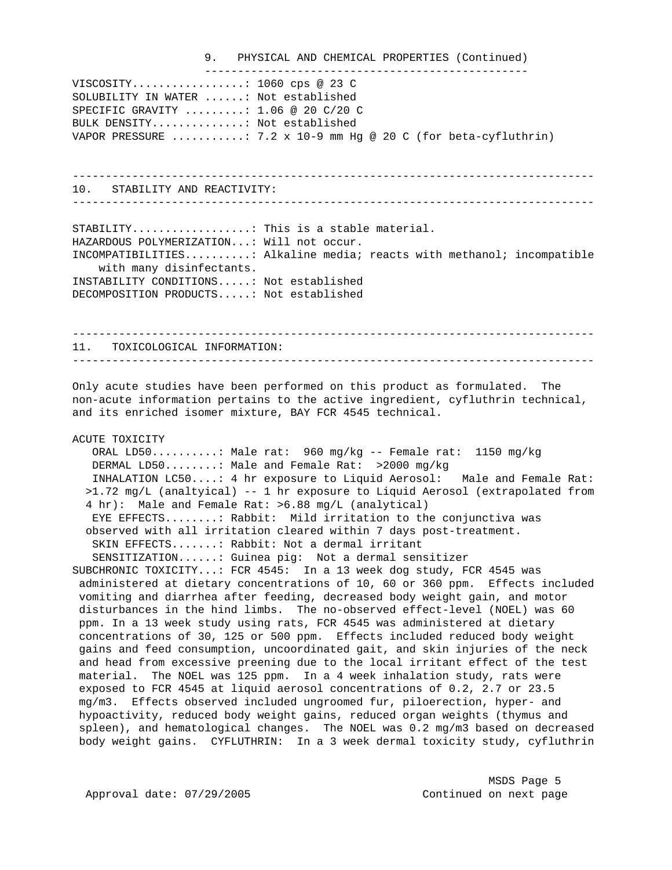#### 9. PHYSICAL AND CHEMICAL PROPERTIES (Continued) -------------------------------------------------

VISCOSITY.................: 1060 cps @ 23 C SOLUBILITY IN WATER ......: Not established SPECIFIC GRAVITY .........: 1.06 @ 20 C/20 C BULK DENSITY..............: Not established VAPOR PRESSURE  $\dots\dots\dots$ : 7.2 x 10-9 mm Hg @ 20 C (for beta-cyfluthrin)

------------------------------------------------------------------------------- 10. STABILITY AND REACTIVITY:

-------------------------------------------------------------------------------

STABILITY..................: This is a stable material. HAZARDOUS POLYMERIZATION...: Will not occur. INCOMPATIBILITIES..........: Alkaline media; reacts with methanol; incompatible with many disinfectants. INSTABILITY CONDITIONS.....: Not established DECOMPOSITION PRODUCTS.....: Not established

------------------------------------------------------------------------------- 11. TOXICOLOGICAL INFORMATION: -------------------------------------------------------------------------------

Only acute studies have been performed on this product as formulated. The non-acute information pertains to the active ingredient, cyfluthrin technical, and its enriched isomer mixture, BAY FCR 4545 technical.

## ACUTE TOXICITY

 ORAL LD50..........: Male rat: 960 mg/kg -- Female rat: 1150 mg/kg DERMAL LD50........: Male and Female Rat: >2000 mg/kg INHALATION LC50....: 4 hr exposure to Liquid Aerosol: Male and Female Rat: >1.72 mg/L (analtyical) -- 1 hr exposure to Liquid Aerosol (extrapolated from 4 hr): Male and Female Rat: >6.88 mg/L (analytical) EYE EFFECTS........: Rabbit: Mild irritation to the conjunctiva was observed with all irritation cleared within 7 days post-treatment. SKIN EFFECTS.......: Rabbit: Not a dermal irritant SENSITIZATION......: Guinea pig: Not a dermal sensitizer SUBCHRONIC TOXICITY...: FCR 4545: In a 13 week dog study, FCR 4545 was administered at dietary concentrations of 10, 60 or 360 ppm. Effects included vomiting and diarrhea after feeding, decreased body weight gain, and motor disturbances in the hind limbs. The no-observed effect-level (NOEL) was 60 ppm. In a 13 week study using rats, FCR 4545 was administered at dietary concentrations of 30, 125 or 500 ppm. Effects included reduced body weight gains and feed consumption, uncoordinated gait, and skin injuries of the neck and head from excessive preening due to the local irritant effect of the test material. The NOEL was 125 ppm. In a 4 week inhalation study, rats were exposed to FCR 4545 at liquid aerosol concentrations of 0.2, 2.7 or 23.5 mg/m3. Effects observed included ungroomed fur, piloerection, hyper- and hypoactivity, reduced body weight gains, reduced organ weights (thymus and spleen), and hematological changes. The NOEL was 0.2 mg/m3 based on decreased body weight gains. CYFLUTHRIN: In a 3 week dermal toxicity study, cyfluthrin

 MSDS Page 5 Approval date:  $07/29/2005$  Continued on next page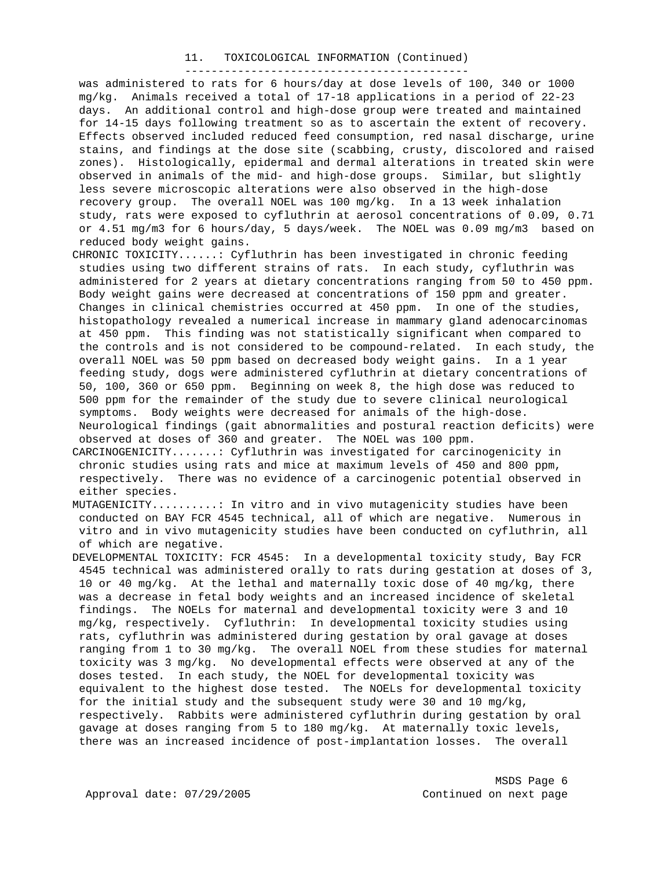#### 11. TOXICOLOGICAL INFORMATION (Continued) -------------------------------------------

 was administered to rats for 6 hours/day at dose levels of 100, 340 or 1000 mg/kg. Animals received a total of 17-18 applications in a period of 22-23 days. An additional control and high-dose group were treated and maintained for 14-15 days following treatment so as to ascertain the extent of recovery. Effects observed included reduced feed consumption, red nasal discharge, urine stains, and findings at the dose site (scabbing, crusty, discolored and raised zones). Histologically, epidermal and dermal alterations in treated skin were observed in animals of the mid- and high-dose groups. Similar, but slightly less severe microscopic alterations were also observed in the high-dose recovery group. The overall NOEL was 100 mg/kg. In a 13 week inhalation study, rats were exposed to cyfluthrin at aerosol concentrations of 0.09, 0.71 or 4.51 mg/m3 for 6 hours/day, 5 days/week. The NOEL was 0.09 mg/m3 based on reduced body weight gains.

CHRONIC TOXICITY......: Cyfluthrin has been investigated in chronic feeding studies using two different strains of rats. In each study, cyfluthrin was administered for 2 years at dietary concentrations ranging from 50 to 450 ppm. Body weight gains were decreased at concentrations of 150 ppm and greater. Changes in clinical chemistries occurred at 450 ppm. In one of the studies, histopathology revealed a numerical increase in mammary gland adenocarcinomas at 450 ppm. This finding was not statistically significant when compared to the controls and is not considered to be compound-related. In each study, the overall NOEL was 50 ppm based on decreased body weight gains. In a 1 year feeding study, dogs were administered cyfluthrin at dietary concentrations of 50, 100, 360 or 650 ppm. Beginning on week 8, the high dose was reduced to 500 ppm for the remainder of the study due to severe clinical neurological symptoms. Body weights were decreased for animals of the high-dose. Neurological findings (gait abnormalities and postural reaction deficits) were observed at doses of 360 and greater. The NOEL was 100 ppm.

CARCINOGENICITY.......: Cyfluthrin was investigated for carcinogenicity in chronic studies using rats and mice at maximum levels of 450 and 800 ppm, respectively. There was no evidence of a carcinogenic potential observed in either species.

MUTAGENICITY..........: In vitro and in vivo mutagenicity studies have been conducted on BAY FCR 4545 technical, all of which are negative. Numerous in vitro and in vivo mutagenicity studies have been conducted on cyfluthrin, all of which are negative.

DEVELOPMENTAL TOXICITY: FCR 4545: In a developmental toxicity study, Bay FCR 4545 technical was administered orally to rats during gestation at doses of 3, 10 or 40 mg/kg. At the lethal and maternally toxic dose of 40 mg/kg, there was a decrease in fetal body weights and an increased incidence of skeletal findings. The NOELs for maternal and developmental toxicity were 3 and 10 mg/kg, respectively. Cyfluthrin: In developmental toxicity studies using rats, cyfluthrin was administered during gestation by oral gavage at doses ranging from 1 to 30 mg/kg. The overall NOEL from these studies for maternal toxicity was 3 mg/kg. No developmental effects were observed at any of the doses tested. In each study, the NOEL for developmental toxicity was equivalent to the highest dose tested. The NOELs for developmental toxicity for the initial study and the subsequent study were 30 and 10 mg/kg, respectively. Rabbits were administered cyfluthrin during gestation by oral gavage at doses ranging from 5 to 180 mg/kg. At maternally toxic levels, there was an increased incidence of post-implantation losses. The overall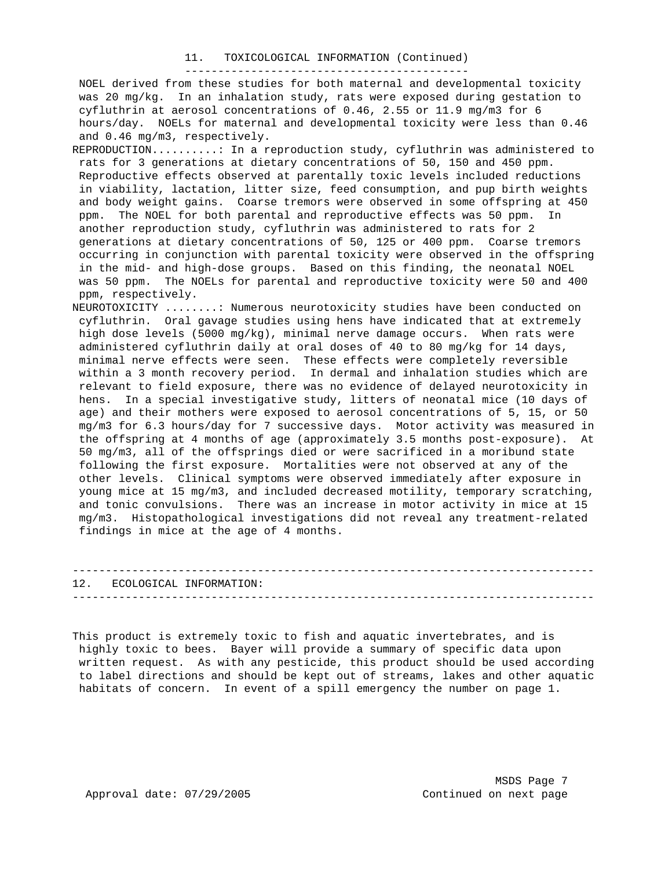#### 11. TOXICOLOGICAL INFORMATION (Continued) -------------------------------------------

 NOEL derived from these studies for both maternal and developmental toxicity was 20 mg/kg. In an inhalation study, rats were exposed during gestation to cyfluthrin at aerosol concentrations of 0.46, 2.55 or 11.9 mg/m3 for 6 hours/day. NOELs for maternal and developmental toxicity were less than 0.46 and 0.46 mg/m3, respectively.

- REPRODUCTION..........: In a reproduction study, cyfluthrin was administered to rats for 3 generations at dietary concentrations of 50, 150 and 450 ppm. Reproductive effects observed at parentally toxic levels included reductions in viability, lactation, litter size, feed consumption, and pup birth weights and body weight gains. Coarse tremors were observed in some offspring at 450 ppm. The NOEL for both parental and reproductive effects was 50 ppm. In another reproduction study, cyfluthrin was administered to rats for 2 generations at dietary concentrations of 50, 125 or 400 ppm. Coarse tremors occurring in conjunction with parental toxicity were observed in the offspring in the mid- and high-dose groups. Based on this finding, the neonatal NOEL was 50 ppm. The NOELs for parental and reproductive toxicity were 50 and 400 ppm, respectively.
- NEUROTOXICITY ........: Numerous neurotoxicity studies have been conducted on cyfluthrin. Oral gavage studies using hens have indicated that at extremely high dose levels (5000 mg/kg), minimal nerve damage occurs. When rats were administered cyfluthrin daily at oral doses of 40 to 80 mg/kg for 14 days, minimal nerve effects were seen. These effects were completely reversible within a 3 month recovery period. In dermal and inhalation studies which are relevant to field exposure, there was no evidence of delayed neurotoxicity in hens. In a special investigative study, litters of neonatal mice (10 days of age) and their mothers were exposed to aerosol concentrations of 5, 15, or 50 mg/m3 for 6.3 hours/day for 7 successive days. Motor activity was measured in the offspring at 4 months of age (approximately 3.5 months post-exposure). At 50 mg/m3, all of the offsprings died or were sacrificed in a moribund state following the first exposure. Mortalities were not observed at any of the other levels. Clinical symptoms were observed immediately after exposure in young mice at 15 mg/m3, and included decreased motility, temporary scratching, and tonic convulsions. There was an increase in motor activity in mice at 15 mg/m3. Histopathological investigations did not reveal any treatment-related findings in mice at the age of 4 months.

| 12. | ECOLOGICAL INFORMATION: |
|-----|-------------------------|
|     |                         |

This product is extremely toxic to fish and aquatic invertebrates, and is highly toxic to bees. Bayer will provide a summary of specific data upon written request. As with any pesticide, this product should be used according to label directions and should be kept out of streams, lakes and other aquatic habitats of concern. In event of a spill emergency the number on page 1.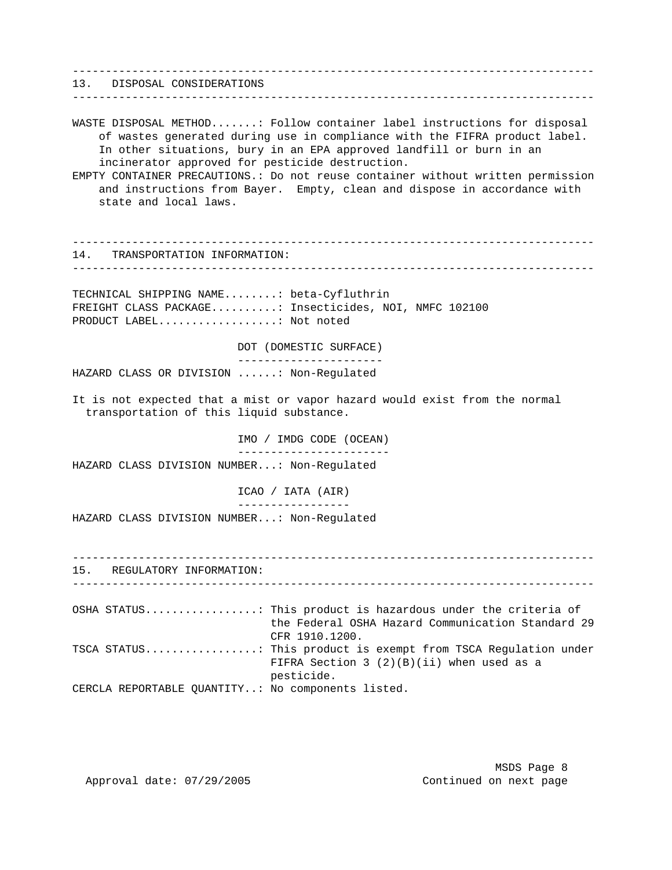------------------------------------------------------------------------------- 13. DISPOSAL CONSIDERATIONS ------------------------------------------------------------------------------- WASTE DISPOSAL METHOD.......: Follow container label instructions for disposal of wastes generated during use in compliance with the FIFRA product label. In other situations, bury in an EPA approved landfill or burn in an incinerator approved for pesticide destruction. EMPTY CONTAINER PRECAUTIONS.: Do not reuse container without written permission and instructions from Bayer. Empty, clean and dispose in accordance with state and local laws. ------------------------------------------------------------------------------- 14. TRANSPORTATION INFORMATION: ------------------------------------------------------------------------------- TECHNICAL SHIPPING NAME........: beta-Cyfluthrin FREIGHT CLASS PACKAGE..........: Insecticides, NOI, NMFC 102100 PRODUCT LABEL..................: Not noted DOT (DOMESTIC SURFACE) ---------------------- HAZARD CLASS OR DIVISION ......: Non-Regulated It is not expected that a mist or vapor hazard would exist from the normal transportation of this liquid substance. IMO / IMDG CODE (OCEAN) ----------------------- HAZARD CLASS DIVISION NUMBER...: Non-Regulated ICAO / IATA (AIR) ----------------- HAZARD CLASS DIVISION NUMBER...: Non-Regulated ------------------------------------------------------------------------------- 15. REGULATORY INFORMATION: ------------------------------------------------------------------------------- OSHA STATUS.................: This product is hazardous under the criteria of the Federal OSHA Hazard Communication Standard 29 CFR 1910.1200. TSCA STATUS.................: This product is exempt from TSCA Regulation under FIFRA Section 3 (2)(B)(ii) when used as a pesticide. CERCLA REPORTABLE QUANTITY..: No components listed.

MSDS Page 8

Approval date: 07/29/2005 Continued on next page